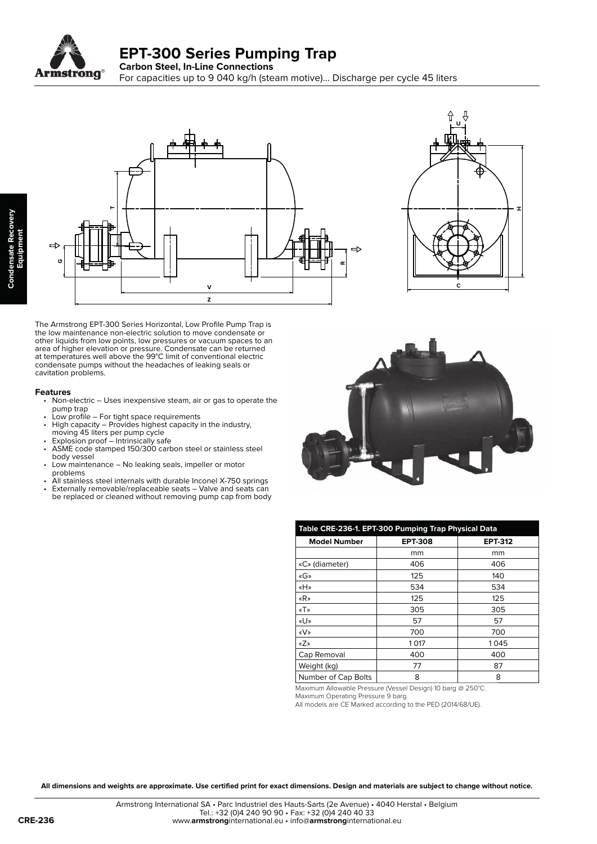





The Armstrong EPT-300 Series Horizontal, Low Profile Pump Trap is the low maintenance non-electric solution to move condensate or other liquids from low points, low pressures or vacuum spaces to an area of higher elevation or pressure. Condensate can be returned at temperatures well above the 99°C limit of conventional electric condensate pumps without the headaches of leaking seals or cavitation problems.

## **Features**

- Non-electric Uses inexpensive steam, air or gas to operate the pump trap
- Low profile For tight space requirements<br>• High capacity Provides highest capacity
- High capacity Provides highest capacity in the industry, moving 45 liters per pump cycle
- Explosion proof Intrinsically safe
- ASME code stamped 150/300 carbon steel or stainless steel body vessel
- Low maintenance No leaking seals, impeller or motor problems<br>Call stainless
- All stainless steel internals with durable Inconel X-750 springs
- Externally removable/replaceable seats Valve and seats can be replaced or cleaned without removing pump cap from body



| Table CRE-236-1. EPT-300 Pumping Trap Physical Data                                                                                                                                                                                                                                                                                                                                                                                                                                              |                |                |  |  |
|--------------------------------------------------------------------------------------------------------------------------------------------------------------------------------------------------------------------------------------------------------------------------------------------------------------------------------------------------------------------------------------------------------------------------------------------------------------------------------------------------|----------------|----------------|--|--|
| <b>Model Number</b>                                                                                                                                                                                                                                                                                                                                                                                                                                                                              | <b>EPT-308</b> | <b>EPT-312</b> |  |  |
|                                                                                                                                                                                                                                                                                                                                                                                                                                                                                                  | mm             | mm             |  |  |
| «C» (diameter)                                                                                                                                                                                                                                                                                                                                                                                                                                                                                   | 406            | 406            |  |  |
| «G»                                                                                                                                                                                                                                                                                                                                                                                                                                                                                              | 125            | 140            |  |  |
| «H»                                                                                                                                                                                                                                                                                                                                                                                                                                                                                              | 534            | 534            |  |  |
| «R»                                                                                                                                                                                                                                                                                                                                                                                                                                                                                              | 125            | 125            |  |  |
| $\langle \nabla \cdot \nabla \cdot \nabla \cdot \nabla \cdot \nabla \cdot \nabla \cdot \nabla \cdot \nabla \cdot \nabla \cdot \nabla \cdot \nabla \cdot \nabla \cdot \nabla \cdot \nabla \cdot \nabla \cdot \nabla \cdot \nabla \cdot \nabla \cdot \nabla \cdot \nabla \cdot \nabla \cdot \nabla \cdot \nabla \cdot \nabla \cdot \nabla \cdot \nabla \cdot \nabla \cdot \nabla \cdot \nabla \cdot \nabla \cdot \nabla \cdot \nabla \cdot \nabla \cdot \nabla \cdot \nabla \cdot \nabla \cdot \n$ | 305            | 305            |  |  |
| «U»                                                                                                                                                                                                                                                                                                                                                                                                                                                                                              | 57             | 57             |  |  |
| «V»                                                                                                                                                                                                                                                                                                                                                                                                                                                                                              | 700            | 700            |  |  |
| «Z»                                                                                                                                                                                                                                                                                                                                                                                                                                                                                              | 1017           | 1045           |  |  |
| Cap Removal                                                                                                                                                                                                                                                                                                                                                                                                                                                                                      | 400            | 400            |  |  |
| Weight (kg)                                                                                                                                                                                                                                                                                                                                                                                                                                                                                      | 77             | 87             |  |  |
| Number of Cap Bolts                                                                                                                                                                                                                                                                                                                                                                                                                                                                              | 8              | 8              |  |  |

Maximum Allowable Pressure (Vessel Design) 10 barg @ 250°C.

Maximum Operating Pressure 9 barg. All models are CE Marked according to the PED (2014/68/UE).

**All dimensions and weights are approximate. Use certified print for exact dimensions. Design and materials are subject to change without notice.**